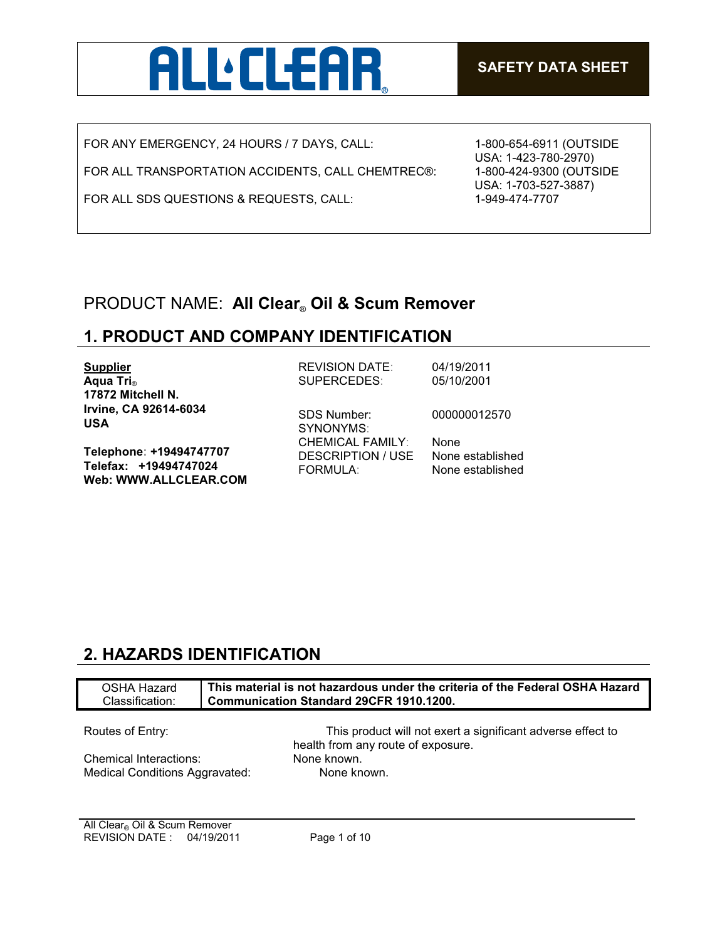

FOR ANY EMERGENCY, 24 HOURS / 7 DAYS, CALL:

FOR ALL TRANSPORTATION ACCIDENTS, CALL CHEMTREC®:

FOR ALL SDS QUESTIONS & REQUESTS, CALL:

1-800-654-6911 (OUTSIDE USA: 1-423-780-2970) 1-800-424-9300 (OUTSIDE USA: 1-703-527-3887) 1-949-474-7707

## PRODUCT NAME: **All Clear**® **Oil & Scum Remover**

## **1. PRODUCT AND COMPANY IDENTIFICATION**

| <b>Supplier</b>                                                                  | <b>REVISION DATE:</b>                                           | 04/19/2011                                   |
|----------------------------------------------------------------------------------|-----------------------------------------------------------------|----------------------------------------------|
| Aqua Tri <sub>®</sub>                                                            | SUPERCEDES:                                                     | 05/10/2001                                   |
| 17872 Mitchell N.                                                                |                                                                 |                                              |
| Irvine, CA 92614-6034<br><b>USA</b>                                              | <b>SDS Number:</b><br>SYNONYMS:                                 | 000000012570                                 |
| Telephone: +19494747707<br>Telefax: +19494747024<br><b>Web: WWW.ALLCLEAR.COM</b> | <b>CHEMICAL FAMILY:</b><br>DESCRIPTION / USE<br><b>FORMULA:</b> | None<br>None established<br>None established |
|                                                                                  |                                                                 |                                              |

## **2. HAZARDS IDENTIFICATION**

| OSHA Hazard<br>Classification: | This material is not hazardous under the criteria of the Federal OSHA Hazard<br><b>Communication Standard 29CFR 1910.1200.</b> |  |
|--------------------------------|--------------------------------------------------------------------------------------------------------------------------------|--|
| Routes of Entry:               | This product will not exert a significant adverse effect to                                                                    |  |
| Chemical Interactions:         | health from any route of exposure.<br>None known.                                                                              |  |
| Medical Conditions Aggravated: | None known.                                                                                                                    |  |
|                                |                                                                                                                                |  |

All Clear<sub>®</sub> Oil & Scum Remover REVISION DATE : 04/19/2011 Page 1 of 10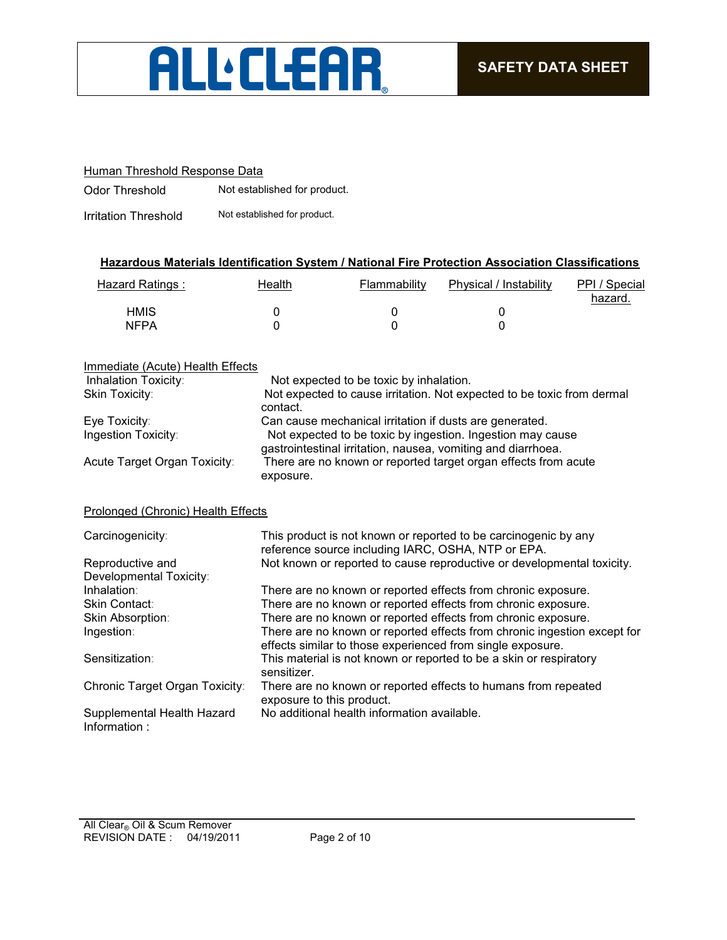

#### Human Threshold Response Data

Odor Threshold Not established for product.

Irritation Threshold Not established for product.

#### **Hazardous Materials Identification System / National Fire Protection Association Classifications**

| Hazard Ratings : | Health | Flammability | Physical / Instability | PPI / Special<br>hazard. |
|------------------|--------|--------------|------------------------|--------------------------|
| <b>HMIS</b>      |        |              |                        |                          |
| <b>NFPA</b>      |        |              |                        |                          |

#### Immediate (Acute) Health Effects

| Inhalation Toxicity:               | Not expected to be toxic by inhalation.                                                                                    |
|------------------------------------|----------------------------------------------------------------------------------------------------------------------------|
| Skin Toxicity:                     | Not expected to cause irritation. Not expected to be toxic from dermal<br>contact.                                         |
| Eye Toxicity:                      | Can cause mechanical irritation if dusts are generated.                                                                    |
| Ingestion Toxicity:                | Not expected to be toxic by ingestion. Ingestion may cause<br>gastrointestinal irritation, nausea, vomiting and diarrhoea. |
| Acute Target Organ Toxicity:       | There are no known or reported target organ effects from acute<br>exposure.                                                |
| Prolonged (Chronic) Health Effects |                                                                                                                            |
| Carcinogenicity:                   | This product is not known or reported to be carcinogenic by any<br>reference source including IARC, OSHA, NTP or EPA.      |
| Reproductive and                   | Not known or reported to cause reproductive or developmental toxicity.                                                     |

| Developmental Toxicity:                    |                                                                                                                                        |
|--------------------------------------------|----------------------------------------------------------------------------------------------------------------------------------------|
| Inhalation:                                | There are no known or reported effects from chronic exposure.                                                                          |
| <b>Skin Contact:</b>                       | There are no known or reported effects from chronic exposure.                                                                          |
| Skin Absorption:                           | There are no known or reported effects from chronic exposure.                                                                          |
| Ingestion:                                 | There are no known or reported effects from chronic ingestion except for<br>effects similar to those experienced from single exposure. |
| Sensitization:                             | This material is not known or reported to be a skin or respiratory<br>sensitizer.                                                      |
| Chronic Target Organ Toxicity:             | There are no known or reported effects to humans from repeated<br>exposure to this product.                                            |
| Supplemental Health Hazard<br>Information: | No additional health information available.                                                                                            |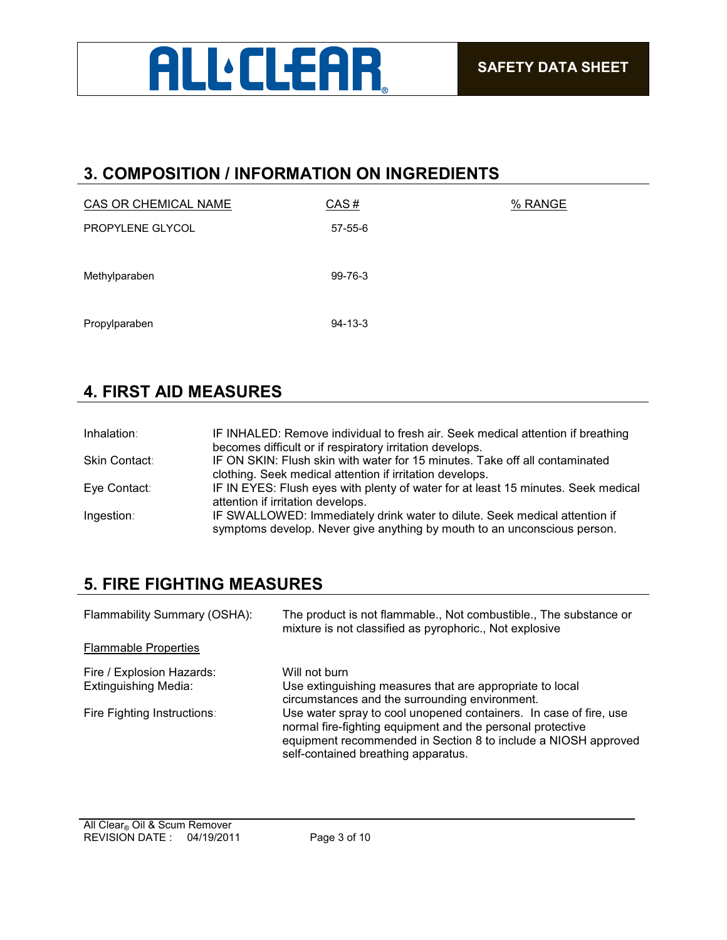

### **3. COMPOSITION / INFORMATION ON INGREDIENTS**

| <b>CAS OR CHEMICAL NAME</b> | CAS#          | % RANGE |
|-----------------------------|---------------|---------|
| PROPYLENE GLYCOL            | $57 - 55 - 6$ |         |
|                             |               |         |
| Methylparaben               | 99-76-3       |         |
|                             |               |         |
| Propylparaben               | $94 - 13 - 3$ |         |
|                             |               |         |

## **4. FIRST AID MEASURES**

| Inhalation:   | IF INHALED: Remove individual to fresh air. Seek medical attention if breathing                                                                        |
|---------------|--------------------------------------------------------------------------------------------------------------------------------------------------------|
|               | becomes difficult or if respiratory irritation develops.                                                                                               |
| Skin Contact: | IF ON SKIN: Flush skin with water for 15 minutes. Take off all contaminated                                                                            |
|               | clothing. Seek medical attention if irritation develops.                                                                                               |
| Eye Contact:  | IF IN EYES: Flush eyes with plenty of water for at least 15 minutes. Seek medical                                                                      |
|               | attention if irritation develops.                                                                                                                      |
| Ingestion:    | IF SWALLOWED: Immediately drink water to dilute. Seek medical attention if<br>symptoms develop. Never give anything by mouth to an unconscious person. |

## **5. FIRE FIGHTING MEASURES**

| Flammability Summary (OSHA):                             | The product is not flammable., Not combustible., The substance or<br>mixture is not classified as pyrophoric., Not explosive                                                                                                             |
|----------------------------------------------------------|------------------------------------------------------------------------------------------------------------------------------------------------------------------------------------------------------------------------------------------|
| <b>Flammable Properties</b>                              |                                                                                                                                                                                                                                          |
| Fire / Explosion Hazards:<br><b>Extinguishing Media:</b> | Will not burn<br>Use extinguishing measures that are appropriate to local<br>circumstances and the surrounding environment.                                                                                                              |
| Fire Fighting Instructions:                              | Use water spray to cool unopened containers. In case of fire, use<br>normal fire-fighting equipment and the personal protective<br>equipment recommended in Section 8 to include a NIOSH approved<br>self-contained breathing apparatus. |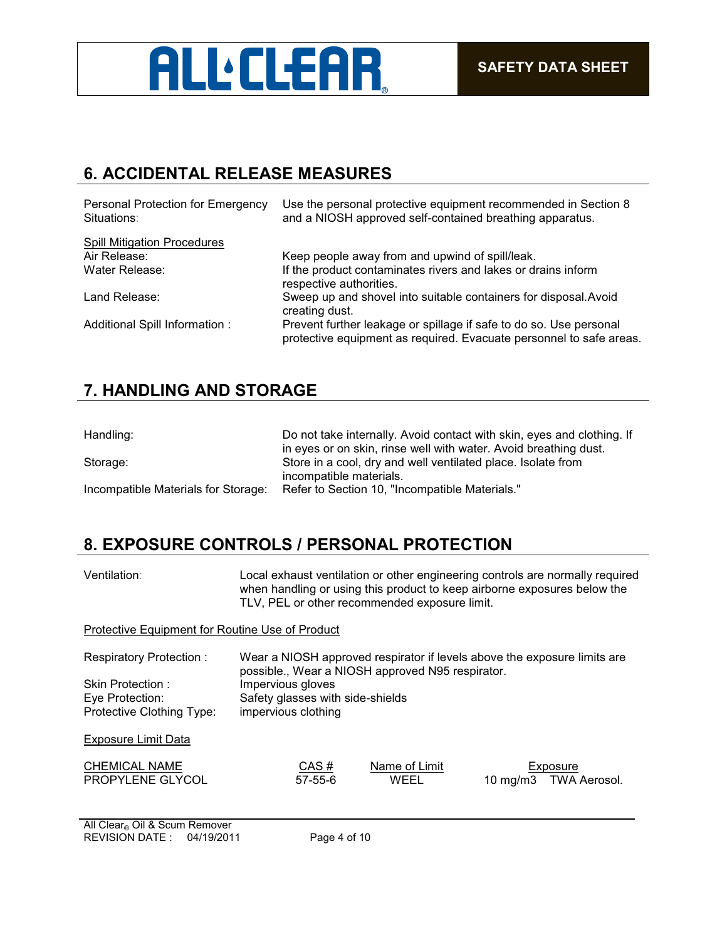

## **6. ACCIDENTAL RELEASE MEASURES**

| Personal Protection for Emergency<br>Situations: | Use the personal protective equipment recommended in Section 8<br>and a NIOSH approved self-contained breathing apparatus.                |
|--------------------------------------------------|-------------------------------------------------------------------------------------------------------------------------------------------|
| <b>Spill Mitigation Procedures</b>               |                                                                                                                                           |
| Air Release:                                     | Keep people away from and upwind of spill/leak.                                                                                           |
| Water Release:                                   | If the product contaminates rivers and lakes or drains inform<br>respective authorities.                                                  |
| Land Release:                                    | Sweep up and shovel into suitable containers for disposal. Avoid<br>creating dust.                                                        |
| Additional Spill Information:                    | Prevent further leakage or spillage if safe to do so. Use personal<br>protective equipment as required. Evacuate personnel to safe areas. |

## **7. HANDLING AND STORAGE**

| Handling:                           | Do not take internally. Avoid contact with skin, eyes and clothing. If<br>in eyes or on skin, rinse well with water. Avoid breathing dust. |
|-------------------------------------|--------------------------------------------------------------------------------------------------------------------------------------------|
| Storage:                            | Store in a cool, dry and well ventilated place. Isolate from                                                                               |
|                                     | incompatible materials.                                                                                                                    |
| Incompatible Materials for Storage: | Refer to Section 10, "Incompatible Materials."                                                                                             |

## **8. EXPOSURE CONTROLS / PERSONAL PROTECTION**

| Ventilation∶                                                     | Local exhaust ventilation or other engineering controls are normally required<br>when handling or using this product to keep airborne exposures below the<br>TLV, PEL or other recommended exposure limit. |  |  |
|------------------------------------------------------------------|------------------------------------------------------------------------------------------------------------------------------------------------------------------------------------------------------------|--|--|
| Protective Equipment for Routine Use of Product                  |                                                                                                                                                                                                            |  |  |
| Respiratory Protection:                                          | Wear a NIOSH approved respirator if levels above the exposure limits are                                                                                                                                   |  |  |
| Skin Protection:<br>Eye Protection:<br>Protective Clothing Type: | possible., Wear a NIOSH approved N95 respirator.<br>Impervious gloves<br>Safety glasses with side-shields<br>impervious clothing                                                                           |  |  |
| <b>Exposure Limit Data</b>                                       |                                                                                                                                                                                                            |  |  |
| <b>CHEMICAL NAME</b><br>PROPYLENE GLYCOL                         | Name of Limit<br>CAS#<br>Exposure<br>WEEL<br>$57 - 55 - 6$<br><b>TWA Aerosol.</b><br>$10 \text{ mg/m}$                                                                                                     |  |  |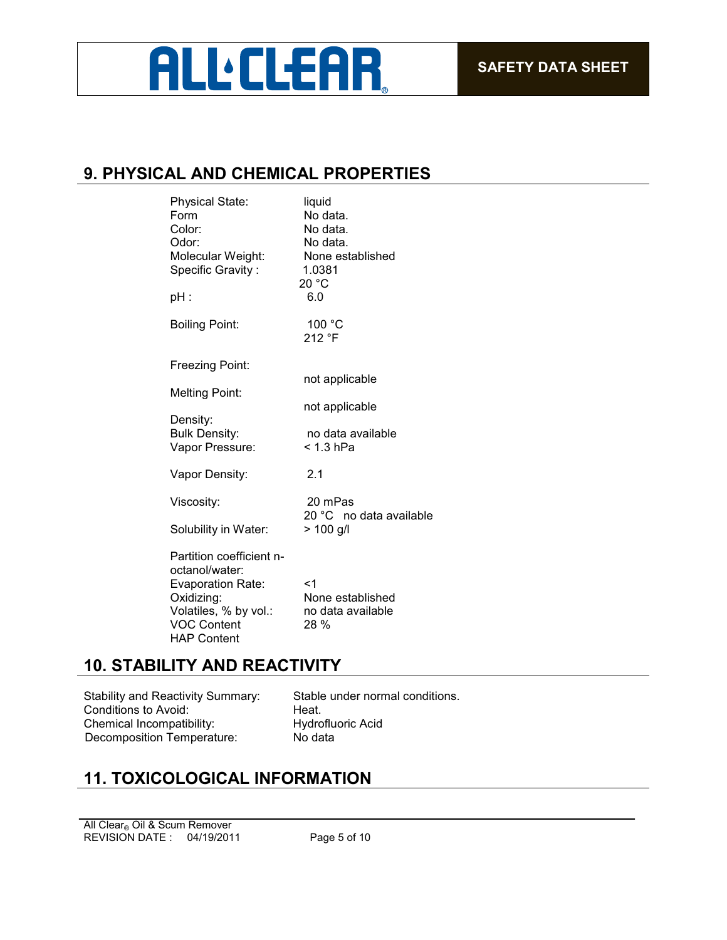## **ALL:CLEAR**

## **9. PHYSICAL AND CHEMICAL PROPERTIES**

| <b>Physical State:</b><br>Form<br>Color:<br>Odor:<br>Molecular Weight:<br>Specific Gravity:<br>pH : | liquid<br>No data.<br>No data.<br>No data.<br>None established<br>1.0381<br>20 °C<br>6.0 |
|-----------------------------------------------------------------------------------------------------|------------------------------------------------------------------------------------------|
| <b>Boiling Point:</b>                                                                               | 100 °C<br>212 °F                                                                         |
| Freezing Point:                                                                                     | not applicable                                                                           |
| <b>Melting Point:</b>                                                                               | not applicable                                                                           |
| Density:<br><b>Bulk Density:</b><br>Vapor Pressure:                                                 | no data available<br>< 1.3 hPa                                                           |
| Vapor Density:                                                                                      | 2.1                                                                                      |
| Viscosity:                                                                                          | 20 mPas<br>20 °C no data available                                                       |
| Solubility in Water:                                                                                | $> 100$ g/l                                                                              |
| Partition coefficient n-<br>octanol/water:<br><b>Evaporation Rate:</b><br>Oxidizing:                | $<$ 1<br>None established                                                                |
| Volatiles, % by vol.:<br><b>VOC Content</b><br><b>HAP Content</b>                                   | no data available<br>28 %                                                                |

## **10. STABILITY AND REACTIVITY**

Stability and Reactivity Summary: Stable under normal conditions. Conditions to Avoid: Heat.<br>
Chemical Incompatibility: Hydrofluoric Acid Chemical Incompatibility: Hydroflu<br>Decomposition Temperature: No data Decomposition Temperature:

## **11. TOXICOLOGICAL INFORMATION**

REVISION DATE : 04/19/2011 Page 5 of 10 All Clear<sub>®</sub> Oil & Scum Remover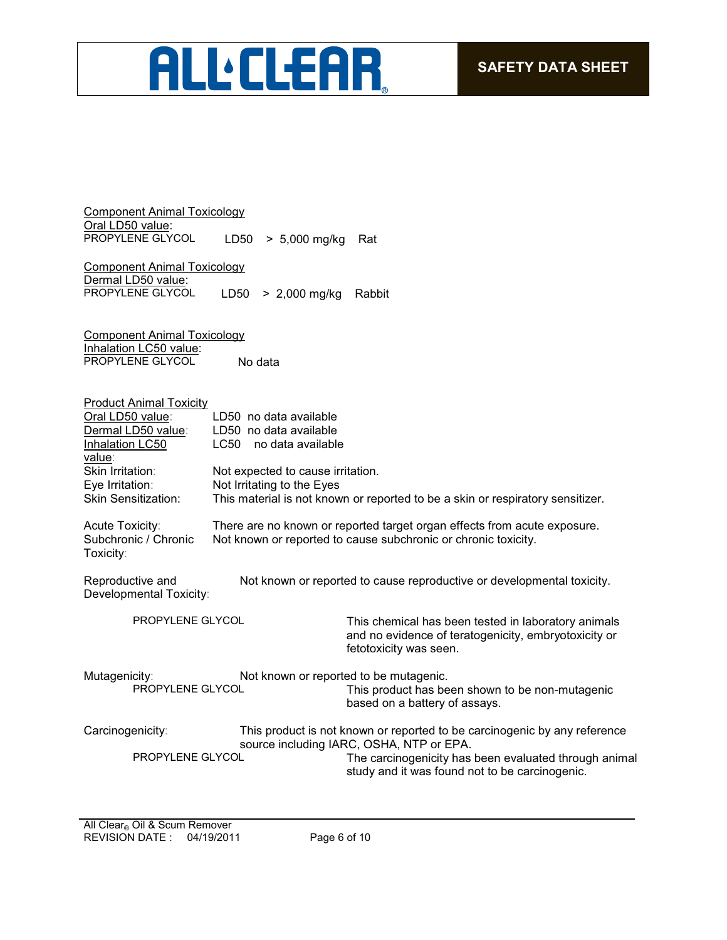# ALL'ELEAR

Component Animal Toxicology Oral LD50 value:<br>PROPYLENE GLYCOL LD50  $> 5,000$  mg/kg Rat

Component Animal Toxicology Dermal LD50 value:<br>PROPYLENE GLYCOL LD50  $>$  2,000 mg/kg Rabbit

Component Animal Toxicology Inhalation LC50 value: PROPYLENE GLYCOL No data

| <b>Product Animal Toxicity</b><br>Oral LD50 value:<br>Dermal LD50 value:<br>Inhalation LC50<br>value: | LD50 no data available<br>LD50 no data available<br>LC50<br>no data available                                                              |                                                                                                                                                                                                                                  |
|-------------------------------------------------------------------------------------------------------|--------------------------------------------------------------------------------------------------------------------------------------------|----------------------------------------------------------------------------------------------------------------------------------------------------------------------------------------------------------------------------------|
| Skin Irritation:                                                                                      | Not expected to cause irritation.                                                                                                          |                                                                                                                                                                                                                                  |
| Eye Irritation:<br><b>Skin Sensitization:</b>                                                         | Not Irritating to the Eyes                                                                                                                 |                                                                                                                                                                                                                                  |
|                                                                                                       |                                                                                                                                            | This material is not known or reported to be a skin or respiratory sensitizer.                                                                                                                                                   |
| Acute Toxicity:<br>Subchronic / Chronic<br>Toxicity:                                                  | There are no known or reported target organ effects from acute exposure.<br>Not known or reported to cause subchronic or chronic toxicity. |                                                                                                                                                                                                                                  |
| Reproductive and<br>Developmental Toxicity:                                                           |                                                                                                                                            | Not known or reported to cause reproductive or developmental toxicity.                                                                                                                                                           |
| PROPYLENE GLYCOL                                                                                      |                                                                                                                                            | This chemical has been tested in laboratory animals<br>and no evidence of teratogenicity, embryotoxicity or<br>fetotoxicity was seen.                                                                                            |
| Mutagenicity:                                                                                         |                                                                                                                                            | Not known or reported to be mutagenic.                                                                                                                                                                                           |
| PROPYLENE GLYCOL                                                                                      |                                                                                                                                            | This product has been shown to be non-mutagenic<br>based on a battery of assays.                                                                                                                                                 |
| Carcinogenicity:<br>PROPYLENE GLYCOL                                                                  |                                                                                                                                            | This product is not known or reported to be carcinogenic by any reference<br>source including IARC, OSHA, NTP or EPA.<br>The carcinogenicity has been evaluated through animal<br>study and it was found not to be carcinogenic. |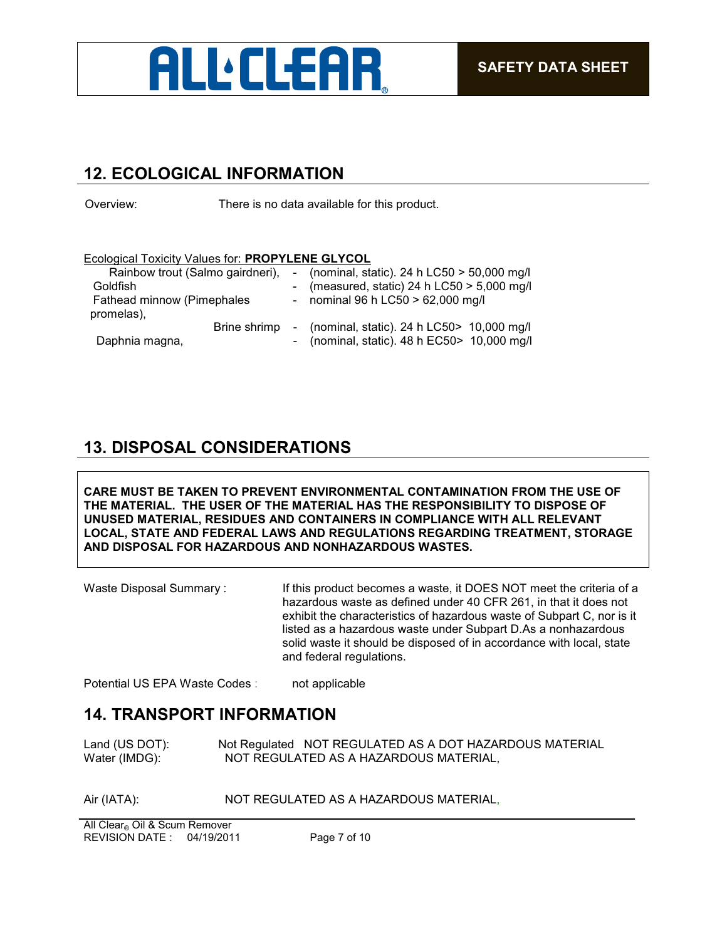

## **12. ECOLOGICAL INFORMATION**

Overview: There is no data available for this product.

#### Ecological Toxicity Values for: **PROPYLENE GLYCOL**

| Rainbow trout (Salmo gairdneri),             |  | - (nominal, static). 24 h $LC50 > 50,000$ mg/l                                                 |
|----------------------------------------------|--|------------------------------------------------------------------------------------------------|
| Goldfish                                     |  | - (measured, static) 24 h LC50 $>$ 5,000 mg/l                                                  |
| Fathead minnow (Pimephales                   |  | - nominal 96 h $LC50 > 62,000$ mg/l                                                            |
| promelas),<br>Brine shrimp<br>Daphnia magna, |  | - (nominal, static). 24 h LC50 $>$ 10,000 mg/l<br>- (nominal, static). 48 h EC50 > 10,000 mg/l |

## **13. DISPOSAL CONSIDERATIONS**

**CARE MUST BE TAKEN TO PREVENT ENVIRONMENTAL CONTAMINATION FROM THE USE OF THE MATERIAL. THE USER OF THE MATERIAL HAS THE RESPONSIBILITY TO DISPOSE OF UNUSED MATERIAL, RESIDUES AND CONTAINERS IN COMPLIANCE WITH ALL RELEVANT LOCAL, STATE AND FEDERAL LAWS AND REGULATIONS REGARDING TREATMENT, STORAGE AND DISPOSAL FOR HAZARDOUS AND NONHAZARDOUS WASTES.** 

Waste Disposal Summary: If this product becomes a waste, it DOES NOT meet the criteria of a hazardous waste as defined under 40 CFR 261, in that it does not exhibit the characteristics of hazardous waste of Subpart C, nor is it listed as a hazardous waste under Subpart D.As a nonhazardous solid waste it should be disposed of in accordance with local, state and federal regulations.

Potential US EPA Waste Codes : not applicable

#### **14. TRANSPORT INFORMATION**

Land (US DOT): Not Regulated NOT REGULATED AS A DOT HAZARDOUS MATERIAL<br>Water (IMDG): NOT REGULATED AS A HAZARDOUS MATERIAL, NOT REGULATED AS A HAZARDOUS MATERIAL,

Air (IATA): NOT REGULATED AS A HAZARDOUS MATERIAL,

REVISION DATE : 04/19/2011 Page 7 of 10 All Clear<sup>®</sup> Oil & Scum Remover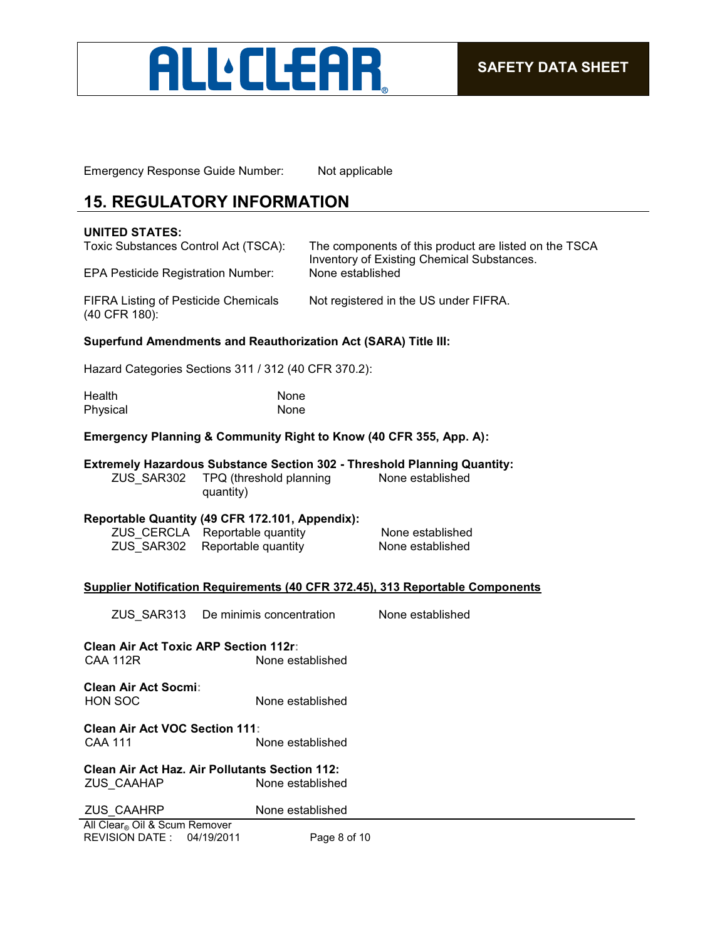

Emergency Response Guide Number: Not applicable

## **15. REGULATORY INFORMATION**

#### **UNITED STATES:**

| Toxic Substances Control Act (TSCA):<br>EPA Pesticide Registration Number: | The components of this product are listed on the TSCA<br>Inventory of Existing Chemical Substances.<br>None established |
|----------------------------------------------------------------------------|-------------------------------------------------------------------------------------------------------------------------|
| FIFRA Listing of Pesticide Chemicals<br>(40 CFR 180):                      | Not registered in the US under FIFRA.                                                                                   |

#### **Superfund Amendments and Reauthorization Act (SARA) Title III:**

Hazard Categories Sections 311 / 312 (40 CFR 370.2):

| Health   | None |
|----------|------|
| Physical | None |

#### **Emergency Planning & Community Right to Know (40 CFR 355, App. A):**

#### **Extremely Hazardous Substance Section 302 - Threshold Planning Quantity:**

ZUS\_SAR302 TPQ (threshold planning quantity) None established

#### **Reportable Quantity (49 CFR 172.101, Appendix):**

ZUS\_CERCLA Reportable quantity None established ZUS\_SAR302 Reportable quantity None established

#### **Supplier Notification Requirements (40 CFR 372.45), 313 Reportable Components**

ZUS\_SAR313 De minimis concentration None established

**Clean Air Act Toxic ARP Section 112r:** None established

**Clean Air Act Socmi:** None established

**Clean Air Act VOC Section 111:** CAA 111 None established

**Clean Air Act Haz. Air Pollutants Section 112:** None established

| <b>ZUS CAAHRP</b>                                                               | None established |
|---------------------------------------------------------------------------------|------------------|
| $\mathbf{A} \mathbf{B}$ and $\mathbf{A} \mathbf{B}$ and $\mathbf{A} \mathbf{B}$ |                  |

REVISION DATE : 04/19/2011 Page 8 of 10 All Clear® Oil & Scum Remover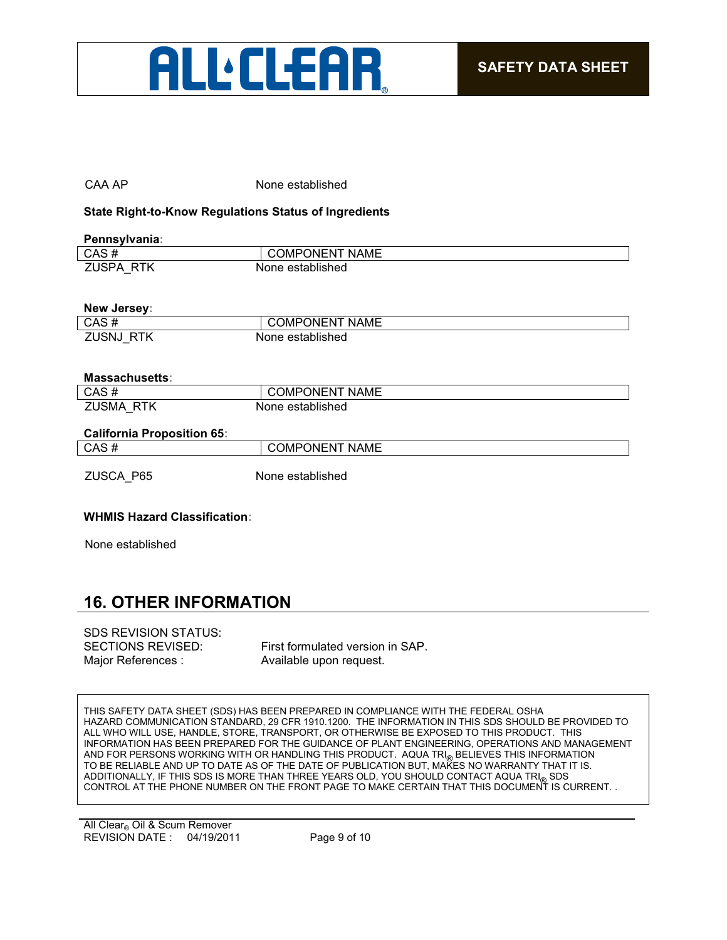

#### CAA AP None established

#### **State Right-to-Know Regulations Status of Ingredients**

| Pennsylvania: |                       |  |
|---------------|-----------------------|--|
| CAS#          | <b>COMPONENT NAME</b> |  |
| ZUSPA RTK     | None established      |  |
|               |                       |  |
| Naw Jarsov    |                       |  |

| .                               |                       |
|---------------------------------|-----------------------|
| CAS#                            | <b>COMPONENT NAME</b> |
| <b>ZUSNJ</b><br><b>RTK</b><br>_ | None established      |

#### **Massachusetts:**

| CAS.                                                | <b>NAME</b><br>)N⊢N<br>JMP        |
|-----------------------------------------------------|-----------------------------------|
| /الااد<br>$\sim$ $\sim$ $\sim$ $\sim$ $\sim$ $\sim$ | stablished<br>one<br>IΝ<br>.<br>. |

#### **California Proposition 65:**

| <b>Calliofina Froposition 63.</b> |                       |
|-----------------------------------|-----------------------|
| CAS#                              | <b>COMPONENT NAME</b> |
| ZUSCA P65                         | None established      |

#### **WHMIS Hazard Classification:**

None established

## **16. OTHER INFORMATION**

## SDS REVISION STATUS: Major References : Available upon request.

SECTIONS REVISED: First formulated version in SAP.

THIS SAFETY DATA SHEET (SDS) HAS BEEN PREPARED IN COMPLIANCE WITH THE FEDERAL OSHA HAZARD COMMUNICATION STANDARD, 29 CFR 1910.1200. THE INFORMATION IN THIS SDS SHOULD BE PROVIDED TO ALL WHO WILL USE, HANDLE, STORE, TRANSPORT, OR OTHERWISE BE EXPOSED TO THIS PRODUCT. THIS INFORMATION HAS BEEN PREPARED FOR THE GUIDANCE OF PLANT ENGINEERING, OPERATIONS AND MANAGEMENT AND FOR PERSONS WORKING WITH OR HANDLING THIS PRODUCT. AQUA TRI<sub>®</sub> BELIEVES THIS INFORMATION TO BE RELIABLE AND UP TO DATE AS OF THE DATE OF PUBLICATION BUT, MAKES NO WARRANTY THAT IT IS. ADDITIONALLY, IF THIS SDS IS MORE THAN THREE YEARS OLD, YOU SHOULD CONTACT AQUA TRI<sub>®</sub> SDS<br>CONTROL AT THE PHONE NUMBER ON THE FRONT PAGE TO MAKE CERTAIN THAT THIS DOCUMENT IS CURRENT. .

REVISION DATE : 04/19/2011 Page 9 of 10 All Clear<sub>®</sub> Oil & Scum Remover